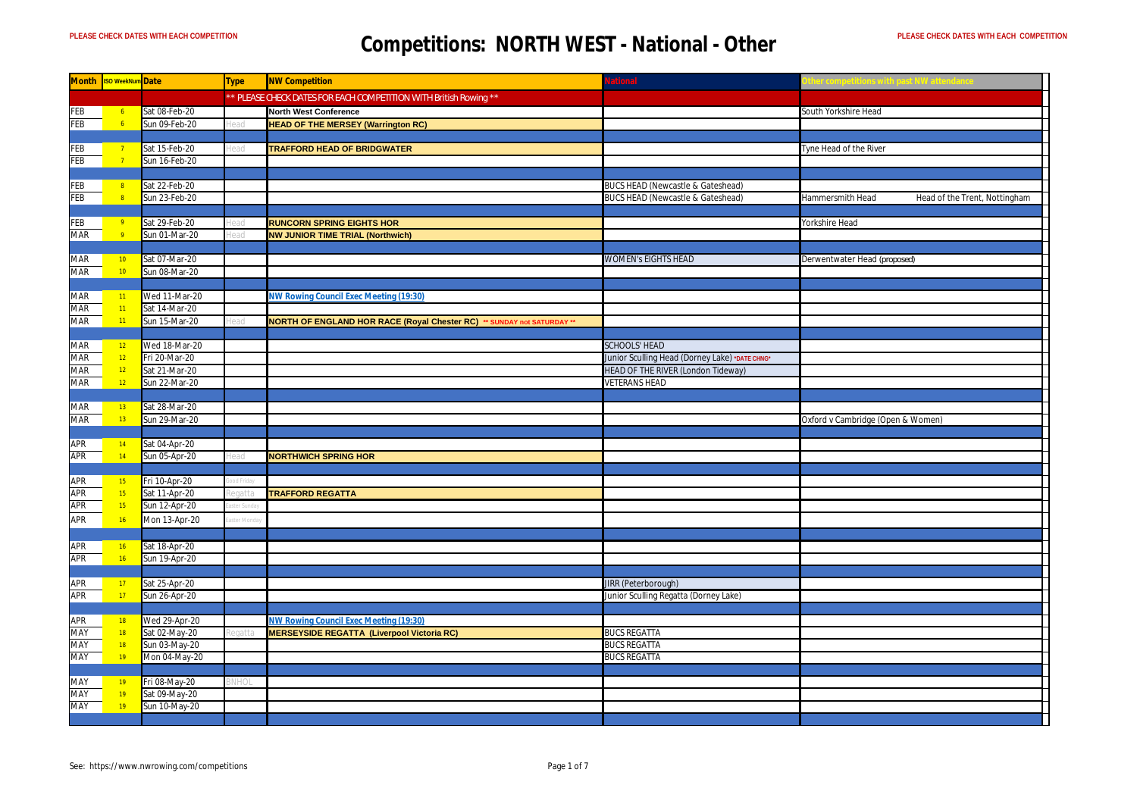|            | Month Iso WeekNum Date             |                                | Type    | <b>NW Competition</b>                                                                       | ational                                        |                                                   |
|------------|------------------------------------|--------------------------------|---------|---------------------------------------------------------------------------------------------|------------------------------------------------|---------------------------------------------------|
|            |                                    |                                |         | * PLEASE CHECK DATES FOR EACH COMPETITION WITH British Rowing **                            |                                                |                                                   |
| FEB        | 6 <sub>6</sub>                     | Sat 08-Feb-20                  |         | <b>North West Conference</b>                                                                |                                                | South Yorkshire Head                              |
| FEB        | 6 <sup>1</sup>                     | Sun 09-Feb-20                  |         | <b>HEAD OF THE MERSEY (Warrington RC)</b>                                                   |                                                |                                                   |
|            |                                    |                                |         |                                                                                             |                                                |                                                   |
| FEB        | $\overline{7}$                     | Sat 15-Feb-20                  |         | <b>TRAFFORD HEAD OF BRIDGWATER</b>                                                          |                                                | Tyne Head of the River                            |
| <b>FEB</b> | $\overline{7}$                     | Sun 16-Feb-20                  |         |                                                                                             |                                                |                                                   |
|            |                                    |                                |         |                                                                                             |                                                |                                                   |
| FEB        | 8 <sup>°</sup>                     | Sat 22-Feb-20                  |         |                                                                                             | BUCS HEAD (Newcastle & Gateshead)              |                                                   |
| FEB        | 8 <sup>°</sup>                     | Sun 23-Feb-20                  |         |                                                                                             | <b>BUCS HEAD (Newcastle &amp; Gateshead)</b>   | Hammersmith Head<br>Head of the Trent, Nottingham |
|            |                                    |                                |         |                                                                                             |                                                |                                                   |
| FEB        | $-9$                               | Sat 29-Feb-20                  |         | <b>RUNCORN SPRING EIGHTS HOR</b>                                                            |                                                | Yorkshire Head                                    |
| <b>MAR</b> | 9 <sup>°</sup>                     | Sun 01-Mar-20                  |         | <b>NW JUNIOR TIME TRIAL (Northwich)</b>                                                     |                                                |                                                   |
|            |                                    | Sat 07-Mar-20                  |         |                                                                                             | <b>WOMEN's EIGHTS HEAD</b>                     |                                                   |
| MAR        | 10 <sub>1</sub><br>10 <sub>1</sub> | Sun 08-Mar-20                  |         |                                                                                             |                                                | Derwentwater Head (proposed)                      |
| MAR        |                                    |                                |         |                                                                                             |                                                |                                                   |
| MAR        | 11                                 | Wed 11-Mar-20                  |         | <b>NW Rowing Council Exec Meeting (19:30)</b>                                               |                                                |                                                   |
| MAR        | 11                                 | Sat 14-Mar-20                  |         |                                                                                             |                                                |                                                   |
| MAR        | 11 <sub>1</sub>                    | Sun 15-Mar-20                  |         | NORTH OF ENGLAND HOR RACE (Royal Chester RC) ** SUNDAY not SATURDAY **                      |                                                |                                                   |
|            |                                    |                                |         |                                                                                             |                                                |                                                   |
| <b>MAR</b> | 12 <sub>2</sub>                    | Wed 18-Mar-20                  |         |                                                                                             | <b>SCHOOLS' HEAD</b>                           |                                                   |
| MAR        | 12 <sub>2</sub>                    | Fri 20-Mar-20                  |         |                                                                                             | Junior Sculling Head (Dorney Lake) *DATE CHNG* |                                                   |
| MAR        | 12                                 | Sat 21-Mar-20                  |         |                                                                                             | HEAD OF THE RIVER (London Tideway)             |                                                   |
| MAR        | 12 <sup>°</sup>                    | Sun 22-Mar-20                  |         |                                                                                             | <b>VETERANS HEAD</b>                           |                                                   |
|            |                                    |                                |         |                                                                                             |                                                |                                                   |
| MAR        | 13                                 | Sat 28-Mar-20                  |         |                                                                                             |                                                |                                                   |
| MAR        | 13                                 | Sun 29-Mar-20                  |         |                                                                                             |                                                | Oxford v Cambridge (Open & Women)                 |
|            |                                    |                                |         |                                                                                             |                                                |                                                   |
| APR        | 14                                 | Sat 04-Apr-20                  |         |                                                                                             |                                                |                                                   |
| <b>APR</b> | 14                                 | Sun 05-Apr-20                  |         | <b>NORTHWICH SPRING HOR</b>                                                                 |                                                |                                                   |
|            |                                    |                                |         |                                                                                             |                                                |                                                   |
| APR        | 15                                 | Fri 10-Apr-20                  |         |                                                                                             |                                                |                                                   |
| APR        | 15                                 | Sat 11-Apr-20                  |         | <b>TRAFFORD REGATTA</b>                                                                     |                                                |                                                   |
| <b>APR</b> | 15                                 | Sun 12-Apr-20                  |         |                                                                                             |                                                |                                                   |
| APR        | 16                                 | Mon 13-Apr-20                  | er Mond |                                                                                             |                                                |                                                   |
|            |                                    |                                |         |                                                                                             |                                                |                                                   |
| <b>APR</b> | 16                                 | Sat 18-Apr-20                  |         |                                                                                             |                                                |                                                   |
| APR        | 16                                 | Sun 19-Apr-20                  |         |                                                                                             |                                                |                                                   |
|            |                                    |                                |         |                                                                                             |                                                |                                                   |
| APR        | 17                                 | Sat 25-Apr-20                  |         |                                                                                             | <b>JIRR</b> (Peterborough)                     |                                                   |
| <b>APR</b> | 17                                 | Sun 26-Apr-20                  |         |                                                                                             | Junior Sculling Regatta (Dorney Lake)          |                                                   |
|            |                                    |                                |         |                                                                                             |                                                |                                                   |
| APR<br>MAY | 18<br>18                           | Wed 29-Apr-20<br>Sat 02-May-20 |         | NW Rowing Council Exec Meeting (19:30)<br><b>MERSEYSIDE REGATTA (Liverpool Victoria RC)</b> | <b>BUCS REGATTA</b>                            |                                                   |
| MAY        | 18                                 | Sun 03-May-20                  |         |                                                                                             | <b>BUCS REGATTA</b>                            |                                                   |
| MAY        | 19                                 | Mon 04-May-20                  |         |                                                                                             | <b>BUCS REGATTA</b>                            |                                                   |
|            |                                    |                                |         |                                                                                             |                                                |                                                   |
| MAY        | 19                                 | Fri 08-May-20                  | HO.     |                                                                                             |                                                |                                                   |
| MAY        | 19                                 | Sat 09-May-20                  |         |                                                                                             |                                                |                                                   |
| MAY        | 19                                 | Sun 10-May-20                  |         |                                                                                             |                                                |                                                   |
|            |                                    |                                |         |                                                                                             |                                                |                                                   |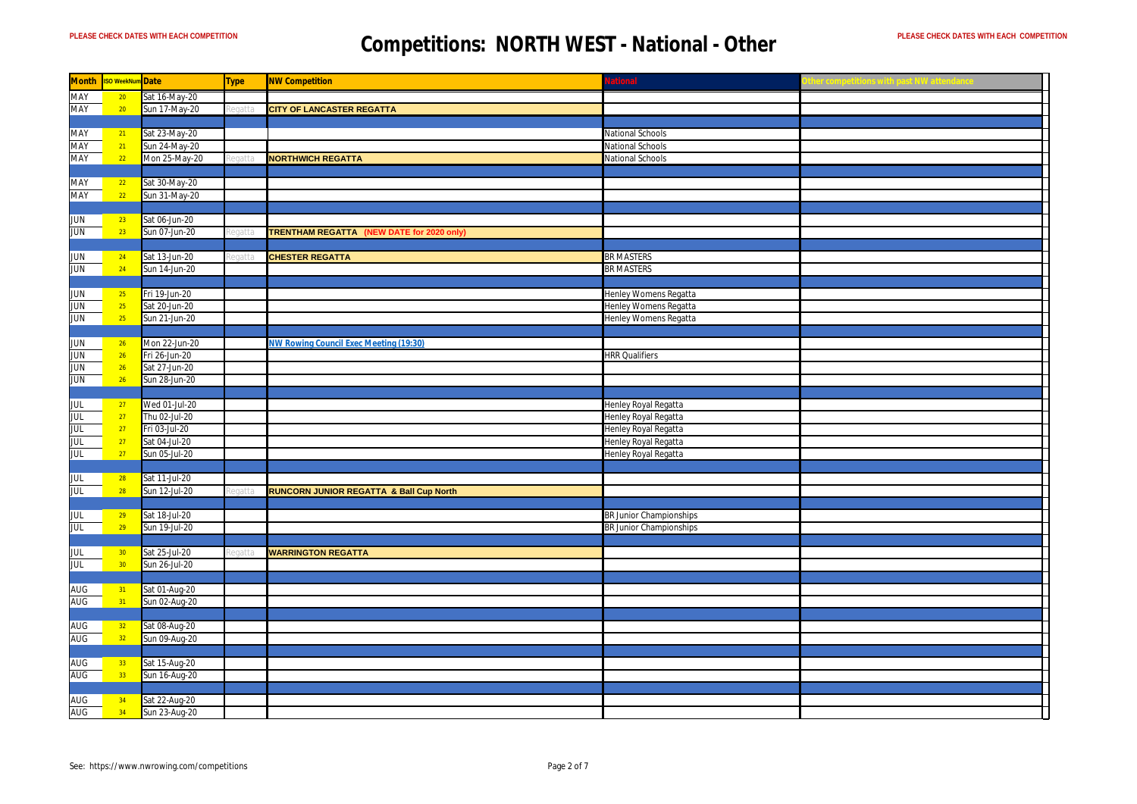| <b>Month</b> | <b>ISO WeekNum</b> Date |               | <b>Type</b> | <b>NW Competition</b>                     | ational                 |  |
|--------------|-------------------------|---------------|-------------|-------------------------------------------|-------------------------|--|
| MAY          | 20                      | Sat 16-May-20 |             |                                           |                         |  |
| <b>MAY</b>   | 20                      | Sun 17-May-20 |             | <b>CITY OF LANCASTER REGATTA</b>          |                         |  |
|              |                         |               |             |                                           |                         |  |
| MAY          | 21                      | Sat 23-May-20 |             |                                           | National Schools        |  |
| <b>MAY</b>   | 21                      | Sun 24-May-20 |             |                                           | National Schools        |  |
| MAY          | 22                      | Mon 25-May-20 |             | <b>NORTHWICH REGATTA</b>                  | National Schools        |  |
|              |                         |               |             |                                           |                         |  |
| MAY          | 22                      | Sat 30-May-20 |             |                                           |                         |  |
| <b>MAY</b>   | 22                      | Sun 31-May-20 |             |                                           |                         |  |
|              |                         |               |             |                                           |                         |  |
| <b>JUN</b>   | 23                      | Sat 06-Jun-20 |             |                                           |                         |  |
| <b>JUN</b>   | 23                      | Sun 07-Jun-20 |             | TRENTHAM REGATTA (NEW DATE for 2020 only) |                         |  |
|              |                         |               |             |                                           |                         |  |
| <b>JUN</b>   | 24                      | Sat 13-Jun-20 |             | <b>CHESTER REGATTA</b>                    | <b>BR MASTERS</b>       |  |
| <b>JUN</b>   | 24                      | Sun 14-Jun-20 |             |                                           | <b>BR MASTERS</b>       |  |
|              |                         |               |             |                                           |                         |  |
| <b>JUN</b>   | 25                      | Fri 19-Jun-20 |             |                                           | Henley Womens Regatta   |  |
| <b>JUN</b>   | 25                      | Sat 20-Jun-20 |             |                                           | Henley Womens Regatta   |  |
| <b>JUN</b>   | 25                      | Sun 21-Jun-20 |             |                                           | Henley Womens Regatta   |  |
|              |                         |               |             |                                           |                         |  |
| <b>JUN</b>   | <b>26</b>               | Mon 22-Jun-20 |             | VW Rowing Council Exec Meeting (19:30)    |                         |  |
| <b>JUN</b>   | 26                      | Fri 26-Jun-20 |             |                                           | <b>HRR Qualifiers</b>   |  |
| <b>JUN</b>   | 26                      |               |             |                                           |                         |  |
| <b>JUN</b>   | 26                      | Sat 27-Jun-20 |             |                                           |                         |  |
|              |                         | Sun 28-Jun-20 |             |                                           |                         |  |
|              |                         |               |             |                                           |                         |  |
| <b>JUL</b>   | 27                      | Wed 01-Jul-20 |             |                                           | Henley Royal Regatta    |  |
| <b>JUL</b>   | 27                      | Thu 02-Jul-20 |             |                                           | Henley Royal Regatta    |  |
| <b>JUL</b>   | 27                      | Fri 03-Jul-20 |             |                                           | Henley Royal Regatta    |  |
| JUL          | 27                      | Sat 04-Jul-20 |             |                                           | Henley Royal Regatta    |  |
| <b>JUL</b>   | 27                      | Sun 05-Jul-20 |             |                                           | Henley Royal Regatta    |  |
|              |                         |               |             |                                           |                         |  |
| JUL          | 28                      | Sat 11-Jul-20 |             |                                           |                         |  |
| <b>JUL</b>   | 28                      | Sun 12-Jul-20 |             | RUNCORN JUNIOR REGATTA & Ball Cup North   |                         |  |
|              |                         |               |             |                                           |                         |  |
| <b>JUL</b>   | 29                      | Sat 18-Jul-20 |             |                                           | BR Junior Championships |  |
| JUL          | 29                      | Sun 19-Jul-20 |             |                                           | BR Junior Championships |  |
|              |                         |               |             |                                           |                         |  |
| <b>JUL</b>   | 30 <sub>o</sub>         | Sat 25-Jul-20 | nati        | <b>WARRINGTON REGATTA</b>                 |                         |  |
| <b>JUL</b>   | 30 <sup>°</sup>         | Sun 26-Jul-20 |             |                                           |                         |  |
|              |                         |               |             |                                           |                         |  |
| AUG          | 31                      | Sat 01-Aug-20 |             |                                           |                         |  |
| <b>AUG</b>   | 31                      | Sun 02-Aug-20 |             |                                           |                         |  |
|              |                         |               |             |                                           |                         |  |
| AUG          | 32 <sub>2</sub>         | Sat 08-Aug-20 |             |                                           |                         |  |
| AUG          | 32 <sup>°</sup>         | Sun 09-Aug-20 |             |                                           |                         |  |
|              |                         |               |             |                                           |                         |  |
| AUG          | 33                      | Sat 15-Aug-20 |             |                                           |                         |  |
| AUG          | 33 <sup>°</sup>         | Sun 16-Aug-20 |             |                                           |                         |  |
|              |                         |               |             |                                           |                         |  |
| AUG          | 34                      | Sat 22-Aug-20 |             |                                           |                         |  |
| <b>AUG</b>   | 34 <sup>°</sup>         | Sun 23-Aug-20 |             |                                           |                         |  |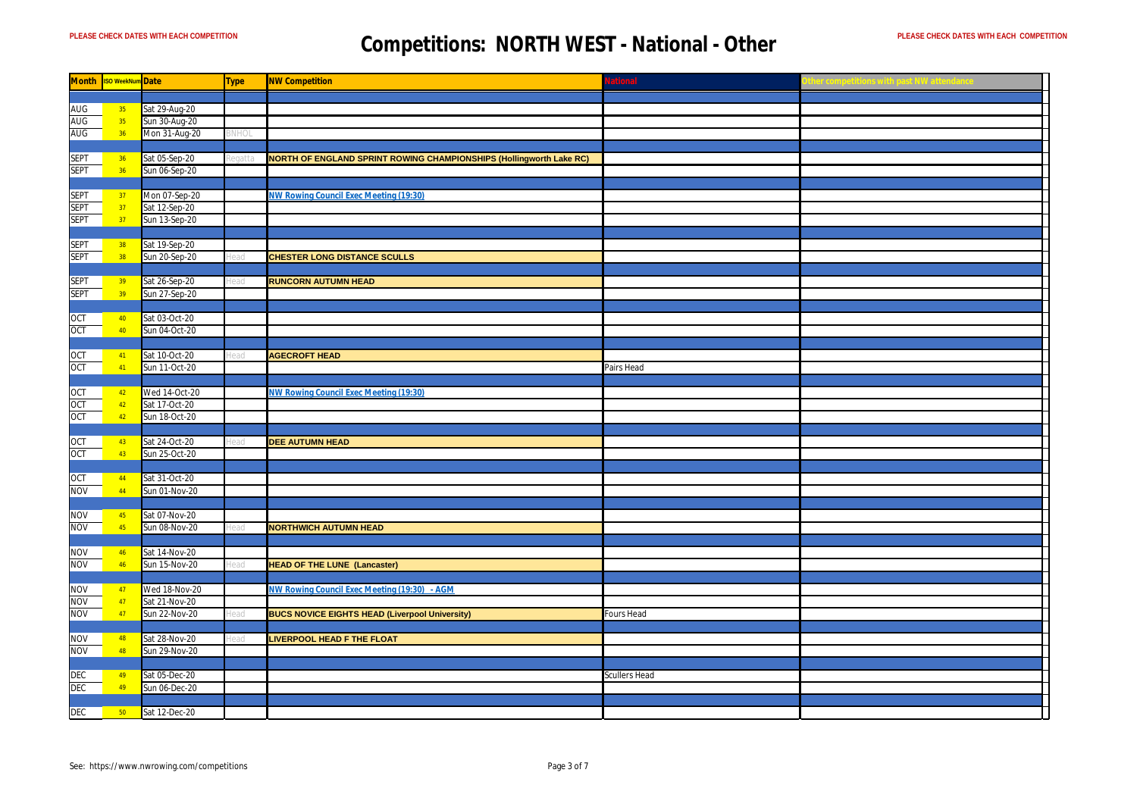|             | Month ISO WeekNum Date |               | <b>Type</b> | <b>NW Competition</b>                                               | lational      |  |
|-------------|------------------------|---------------|-------------|---------------------------------------------------------------------|---------------|--|
|             |                        |               |             |                                                                     |               |  |
| <b>AUG</b>  | 35 <sub>o</sub>        | Sat 29-Aug-20 |             |                                                                     |               |  |
| AUG         | 35 <sub>2</sub>        | Sun 30-Aug-20 |             |                                                                     |               |  |
| AUG         | 36                     | Mon 31-Aug-20 |             |                                                                     |               |  |
|             |                        |               |             |                                                                     |               |  |
| <b>SEPT</b> | 36                     | Sat 05-Sep-20 |             | NORTH OF ENGLAND SPRINT ROWING CHAMPIONSHIPS (Hollingworth Lake RC) |               |  |
| <b>SEPT</b> | 36                     | Sun 06-Sep-20 |             |                                                                     |               |  |
|             |                        |               |             |                                                                     |               |  |
| <b>SEPT</b> | 37                     | Mon 07-Sep-20 |             | <b>NW Rowing Council Exec Meeting (19:30)</b>                       |               |  |
| <b>SEPT</b> | 37                     | Sat 12-Sep-20 |             |                                                                     |               |  |
| <b>SEPT</b> | 37                     | Sun 13-Sep-20 |             |                                                                     |               |  |
|             |                        |               |             |                                                                     |               |  |
| <b>SEPT</b> | 38                     | Sat 19-Sep-20 |             |                                                                     |               |  |
| <b>SEPT</b> | 38                     | Sun 20-Sep-20 |             | <b>CHESTER LONG DISTANCE SCULLS</b>                                 |               |  |
|             |                        |               |             |                                                                     |               |  |
| <b>SEPT</b> | 39                     | Sat 26-Sep-20 |             | <b>RUNCORN AUTUMN HEAD</b>                                          |               |  |
| <b>SEPT</b> | 39 <sup>°</sup>        | Sun 27-Sep-20 |             |                                                                     |               |  |
|             |                        |               |             |                                                                     |               |  |
| OCT         | 40                     | Sat 03-Oct-20 |             |                                                                     |               |  |
| <b>OCT</b>  | 40                     | Sun 04-Oct-20 |             |                                                                     |               |  |
|             |                        |               |             |                                                                     |               |  |
| OCT         | $-41$                  | Sat 10-Oct-20 | iari        | <b>AGECROFT HEAD</b>                                                |               |  |
| OCT         | 41                     | Sun 11-Oct-20 |             |                                                                     | Pairs Head    |  |
|             |                        |               |             |                                                                     |               |  |
| OCT         | 42                     | Wed 14-Oct-20 |             | NW Rowing Council Exec Meeting (19:30)                              |               |  |
| OCT         | 42                     | Sat 17-Oct-20 |             |                                                                     |               |  |
| OCT         | 42                     | Sun 18-Oct-20 |             |                                                                     |               |  |
|             |                        |               |             |                                                                     |               |  |
| OCT         | 43                     | Sat 24-Oct-20 |             | <b>DEE AUTUMN HEAD</b>                                              |               |  |
| OCT         | 43                     | Sun 25-Oct-20 |             |                                                                     |               |  |
|             |                        |               |             |                                                                     |               |  |
| OCT         | 44                     | Sat 31-Oct-20 |             |                                                                     |               |  |
| <b>NOV</b>  | 44                     | Sun 01-Nov-20 |             |                                                                     |               |  |
|             |                        |               |             |                                                                     |               |  |
| NOV         | 45                     | Sat 07-Nov-20 |             |                                                                     |               |  |
| <b>NOV</b>  | 45                     | Sun 08-Nov-20 |             | <b>NORTHWICH AUTUMN HEAD</b>                                        |               |  |
|             |                        |               |             |                                                                     |               |  |
| <b>NON</b>  | 46                     | Sat 14-Nov-20 |             |                                                                     |               |  |
| <b>NON</b>  | 46                     | Sun 15-Nov-20 |             | <b>HEAD OF THE LUNE (Lancaster)</b>                                 |               |  |
|             |                        |               |             |                                                                     |               |  |
| <b>NOV</b>  | $-47$                  | Wed 18-Nov-20 |             | NW Rowing Council Exec Meeting (19:30) - AGM                        |               |  |
| <b>NOV</b>  | 47                     | Sat 21-Nov-20 |             |                                                                     |               |  |
| NOV         | 47                     | Sun 22-Nov-20 |             | <b>BUCS NOVICE EIGHTS HEAD (Liverpool University)</b>               | Fours Head    |  |
|             |                        |               |             |                                                                     |               |  |
| <b>NON</b>  | 48                     | Sat 28-Nov-20 |             | <b>LIVERPOOL HEAD F THE FLOAT</b>                                   |               |  |
| <b>NOV</b>  | 48                     | Sun 29-Nov-20 |             |                                                                     |               |  |
|             |                        |               |             |                                                                     |               |  |
| DEC         | 49                     | Sat 05-Dec-20 |             |                                                                     | Scullers Head |  |
| <b>DEC</b>  | 49                     | Sun 06-Dec-20 |             |                                                                     |               |  |
|             |                        |               |             |                                                                     |               |  |
| <b>DEC</b>  | $-50$                  | Sat 12-Dec-20 |             |                                                                     |               |  |
|             |                        |               |             |                                                                     |               |  |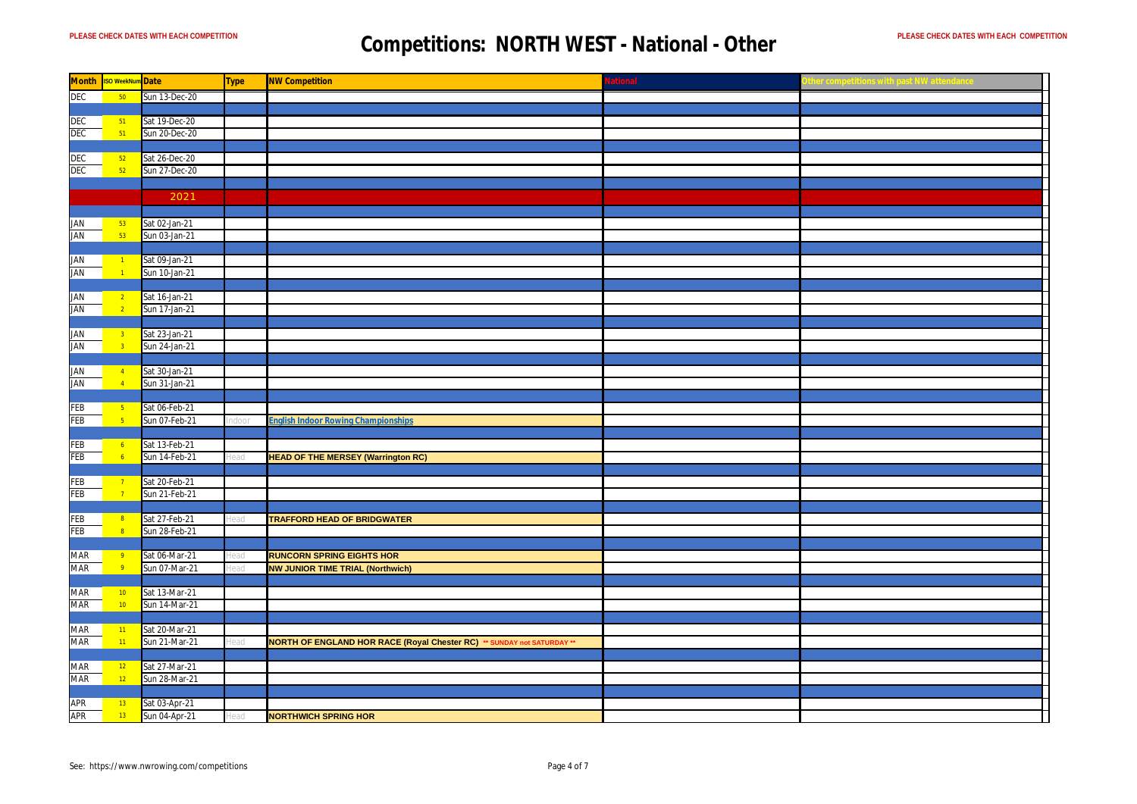| <b>Month</b> | <mark>ISO WeekNum</mark> Date |                                | <b>Type</b> | <b>NW Competition</b>                                                         | <b>lational</b> |  |
|--------------|-------------------------------|--------------------------------|-------------|-------------------------------------------------------------------------------|-----------------|--|
| <b>DEC</b>   | 50 <sub>5</sub>               | Sun 13-Dec-20                  |             |                                                                               |                 |  |
|              |                               |                                |             |                                                                               |                 |  |
| <b>DEC</b>   | $-51$                         | Sat 19-Dec-20                  |             |                                                                               |                 |  |
| <b>DEC</b>   | 51                            | Sun 20-Dec-20                  |             |                                                                               |                 |  |
|              |                               |                                |             |                                                                               |                 |  |
| DEC          | 52                            | Sat 26-Dec-20                  |             |                                                                               |                 |  |
| <b>DEC</b>   | 52                            | Sun 27-Dec-20                  |             |                                                                               |                 |  |
|              |                               |                                |             |                                                                               |                 |  |
|              |                               | 2021                           |             |                                                                               |                 |  |
|              |                               |                                |             |                                                                               |                 |  |
| <b>JAN</b>   | 53                            | Sat 02-Jan-21                  |             |                                                                               |                 |  |
| <b>JAN</b>   | 53                            | Sun 03-Jan-21                  |             |                                                                               |                 |  |
|              |                               |                                |             |                                                                               |                 |  |
| <b>JAN</b>   | $\sqrt{1}$                    | Sat 09-Jan-21                  |             |                                                                               |                 |  |
| <b>JAN</b>   | $\overline{1}$                | Sun 10-Jan-21                  |             |                                                                               |                 |  |
|              |                               |                                |             |                                                                               |                 |  |
| JAN          | $\sqrt{2}$                    | Sat 16-Jan-21                  |             |                                                                               |                 |  |
| <b>JAN</b>   | $\overline{2}$                | Sun 17-Jan-21                  |             |                                                                               |                 |  |
|              |                               |                                |             |                                                                               |                 |  |
| JAN          | $-3$                          | Sat 23-Jan-21                  |             |                                                                               |                 |  |
| <b>JAN</b>   | 3 <sup>o</sup>                | Sun 24-Jan-21                  |             |                                                                               |                 |  |
|              |                               |                                |             |                                                                               |                 |  |
| <b>JAN</b>   | $-4$                          | Sat 30-Jan-21                  |             |                                                                               |                 |  |
| <b>JAN</b>   | $\sqrt{4}$                    | Sun 31-Jan-21                  |             |                                                                               |                 |  |
|              |                               |                                |             |                                                                               |                 |  |
| FEB          | $\sqrt{5}$                    | Sat 06-Feb-21                  |             |                                                                               |                 |  |
| <b>FEB</b>   | $-5$                          | Sun 07-Feb-21                  |             | <b>English Indoor Rowing Championships</b>                                    |                 |  |
|              |                               |                                |             |                                                                               |                 |  |
| FEB          | $-6$                          | Sat 13-Feb-21                  |             |                                                                               |                 |  |
| FEB          | $\sqrt{6}$                    | Sun 14-Feb-21                  |             | <b>HEAD OF THE MERSEY (Warrington RC)</b>                                     |                 |  |
|              |                               |                                |             |                                                                               |                 |  |
| FEB          | $-7$                          | Sat 20-Feb-21                  |             |                                                                               |                 |  |
| FEB          | 7 <sup>7</sup>                | Sun 21-Feb-21                  |             |                                                                               |                 |  |
|              |                               |                                |             |                                                                               |                 |  |
| FEB          | $\vert 8 \vert$               | Sat 27-Feb-21                  |             | <b>TRAFFORD HEAD OF BRIDGWATER</b>                                            |                 |  |
| FEB          | $\overline{\mathbf{8}}$       | Sun 28-Feb-21                  |             |                                                                               |                 |  |
|              |                               |                                |             |                                                                               |                 |  |
| MAR          | $\frac{9}{2}$                 | Sat 06-Mar-21                  | ïЯC         | <b>RUNCORN SPRING EIGHTS HOR</b>                                              |                 |  |
| MAR          | $\overline{9}$                | Sun 07-Mar-21                  | ead         | <b>NW JUNIOR TIME TRIAL (Northwich)</b>                                       |                 |  |
|              |                               |                                |             |                                                                               |                 |  |
| MAR          | 10 <sub>1</sub>               | Sat 13-Mar-21                  |             |                                                                               |                 |  |
| <b>MAR</b>   | 10 <sup>°</sup>               | Sun 14-Mar-21                  |             |                                                                               |                 |  |
|              |                               |                                |             |                                                                               |                 |  |
| MAR          | $-11$                         | Sat 20-Mar-21                  |             |                                                                               |                 |  |
| <b>MAR</b>   | 11 <sup>2</sup>               | Sun 21-Mar-21                  | ead         | <b>NORTH OF ENGLAND HOR RACE (Royal Chester RC) ** SUNDAY not SATURDAY **</b> |                 |  |
|              |                               |                                |             |                                                                               |                 |  |
| MAR<br>MAR   | 12<br>12                      | Sat 27-Mar-21<br>Sun 28-Mar-21 |             |                                                                               |                 |  |
|              |                               |                                |             |                                                                               |                 |  |
| APR          | $-13$                         | Sat 03-Apr-21                  |             |                                                                               |                 |  |
| <b>APR</b>   | $13 -$                        | Sun 04-Apr-21                  |             | <b>NORTHWICH SPRING HOR</b>                                                   |                 |  |
|              |                               |                                |             |                                                                               |                 |  |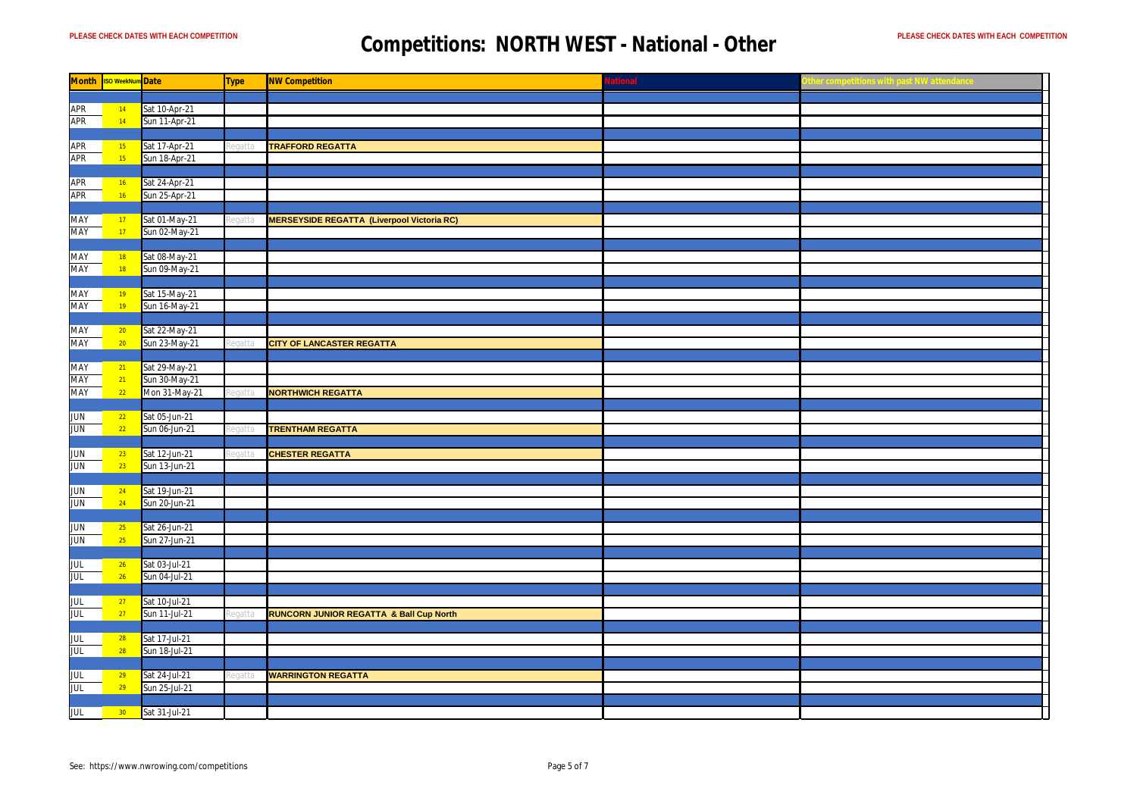| <b>Month</b> | <b>ISO WeekNum</b> Date |               | Type   | <b>NW Competition</b>                             | ational |  |
|--------------|-------------------------|---------------|--------|---------------------------------------------------|---------|--|
|              |                         |               |        |                                                   |         |  |
| APR          | $-14$                   | Sat 10-Apr-21 |        |                                                   |         |  |
| <b>APR</b>   | $ 14\rangle$            | Sun 11-Apr-21 |        |                                                   |         |  |
|              |                         |               |        |                                                   |         |  |
| <b>APR</b>   | 15 <sub>1</sub>         | Sat 17-Apr-21 | ati    | <b>TRAFFORD REGATTA</b>                           |         |  |
| APR          | 15 <sup>°</sup>         | Sun 18-Apr-21 |        |                                                   |         |  |
|              |                         |               |        |                                                   |         |  |
| APR          | 16                      | Sat 24-Apr-21 |        |                                                   |         |  |
| <b>APR</b>   | 16                      | Sun 25-Apr-21 |        |                                                   |         |  |
|              |                         |               |        |                                                   |         |  |
|              |                         |               |        |                                                   |         |  |
| MAY          | $-17$                   | Sat 01-May-21 | eatt   | <b>MERSEYSIDE REGATTA (Liverpool Victoria RC)</b> |         |  |
| <b>MAY</b>   | 17 <sup>°</sup>         | Sun 02-May-21 |        |                                                   |         |  |
|              |                         |               |        |                                                   |         |  |
| <b>MAY</b>   | 18                      | Sat 08-May-21 |        |                                                   |         |  |
| MAY          | 18                      | Sun 09-May-21 |        |                                                   |         |  |
|              |                         |               |        |                                                   |         |  |
| MAY          | $-19$                   | Sat 15-May-21 |        |                                                   |         |  |
| MAY          | 19                      | Sun 16-May-21 |        |                                                   |         |  |
|              |                         |               |        |                                                   |         |  |
| MAY          | 20 <sub>o</sub>         | Sat 22-May-21 |        |                                                   |         |  |
| MAY          | 20 <sup>°</sup>         | Sun 23-May-21 |        | <b>CITY OF LANCASTER REGATTA</b>                  |         |  |
|              |                         |               |        |                                                   |         |  |
| MAY          | 21                      | Sat 29-May-21 |        |                                                   |         |  |
| MAY          | 21                      | Sun 30-May-21 |        |                                                   |         |  |
| MAY          | 22                      | Mon 31-May-21 | eqatta | <b>NORTHWICH REGATTA</b>                          |         |  |
|              |                         |               |        |                                                   |         |  |
| <b>JUN</b>   | 22                      | Sat 05-Jun-21 |        |                                                   |         |  |
| <b>JUN</b>   | 22                      | Sun 06-Jun-21 |        | <b>TRENTHAM REGATTA</b>                           |         |  |
|              |                         |               |        |                                                   |         |  |
| <b>JUN</b>   | 23                      | Sat 12-Jun-21 |        | <b>CHESTER REGATTA</b>                            |         |  |
| <b>JUN</b>   | 23 <sup>°</sup>         | Sun 13-Jun-21 |        |                                                   |         |  |
|              |                         |               |        |                                                   |         |  |
| <b>JUN</b>   | 24                      | Sat 19-Jun-21 |        |                                                   |         |  |
| <b>JUN</b>   | 24                      | Sun 20-Jun-21 |        |                                                   |         |  |
|              |                         |               |        |                                                   |         |  |
|              |                         |               |        |                                                   |         |  |
| <b>JUN</b>   | 25                      | Sat 26-Jun-21 |        |                                                   |         |  |
| <b>JUN</b>   | 25                      | Sun 27-Jun-21 |        |                                                   |         |  |
|              |                         |               |        |                                                   |         |  |
| JUL          | 26                      | Sat 03-Jul-21 |        |                                                   |         |  |
| <b>JUL</b>   | 26                      | Sun 04-Jul-21 |        |                                                   |         |  |
|              |                         |               |        |                                                   |         |  |
| <b>JUL</b>   | 27                      | Sat 10-Jul-21 |        |                                                   |         |  |
| <b>JUL</b>   | 27                      | Sun 11-Jul-21 |        | RUNCORN JUNIOR REGATTA & Ball Cup North           |         |  |
|              |                         |               |        |                                                   |         |  |
| <b>JUL</b>   | 28                      | Sat 17-Jul-21 |        |                                                   |         |  |
| <b>JUL</b>   | 28                      | Sun 18-Jul-21 |        |                                                   |         |  |
|              |                         |               |        |                                                   |         |  |
| JUL          | 29                      | Sat 24-Jul-21 | egatta | <b>WARRINGTON REGATTA</b>                         |         |  |
| <b>JUL</b>   | 29                      | Sun 25-Jul-21 |        |                                                   |         |  |
|              |                         |               |        |                                                   |         |  |
| <b>JUL</b>   | $30 -$                  | Sat 31-Jul-21 |        |                                                   |         |  |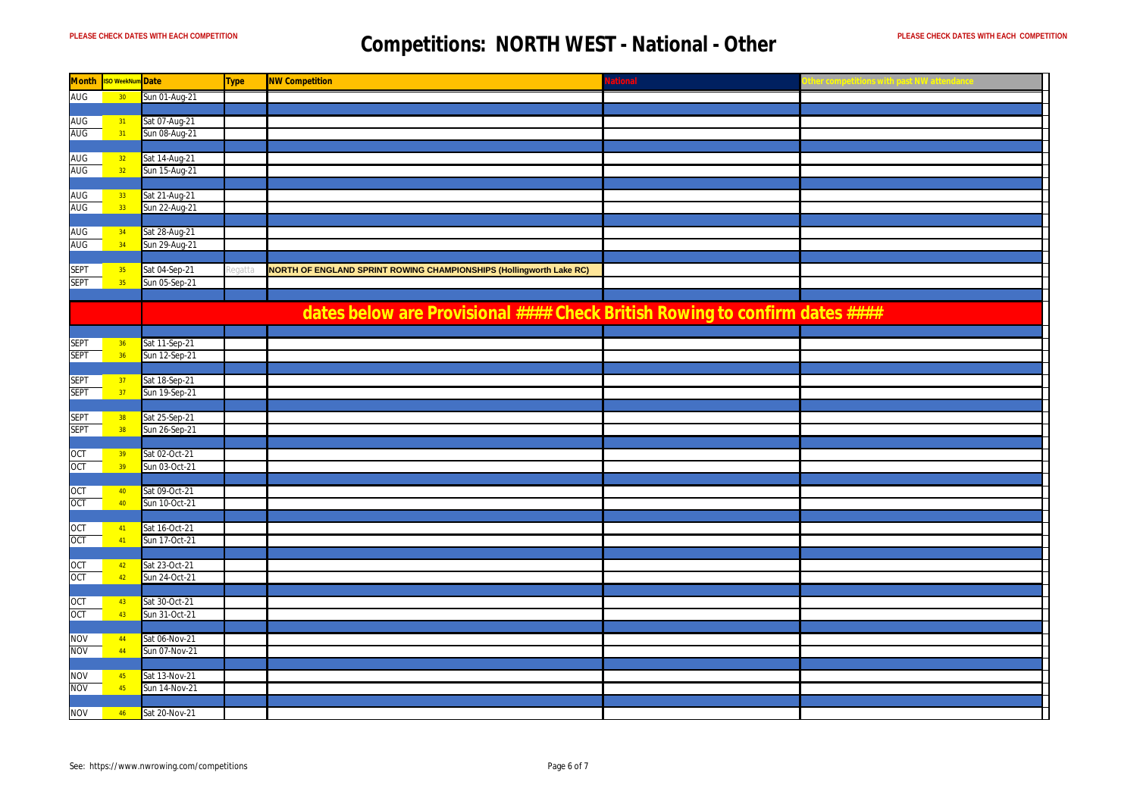| <b>Month</b> | <b>ISO WeekNum</b> Date |               | <b>Type</b> | <b>NW Competition</b>                                                       | ational |  |
|--------------|-------------------------|---------------|-------------|-----------------------------------------------------------------------------|---------|--|
| <b>AUG</b>   | 30                      | Sun 01-Aug-21 |             |                                                                             |         |  |
|              |                         |               |             |                                                                             |         |  |
| <b>AUG</b>   | $-31$                   | Sat 07-Aug-21 |             |                                                                             |         |  |
| <b>AUG</b>   | 31                      | Sun 08-Aug-21 |             |                                                                             |         |  |
|              |                         |               |             |                                                                             |         |  |
| AUG          | 32                      | Sat 14-Aug-21 |             |                                                                             |         |  |
| <b>AUG</b>   | 32 <sup>°</sup>         | Sun 15-Aug-21 |             |                                                                             |         |  |
|              |                         |               |             |                                                                             |         |  |
| <b>AUG</b>   | 33 <sup>°</sup>         | Sat 21-Aug-21 |             |                                                                             |         |  |
| AUG          | 33 <sup>°</sup>         | Sun 22-Aug-21 |             |                                                                             |         |  |
|              |                         |               |             |                                                                             |         |  |
| <b>AUG</b>   | 34                      | Sat 28-Aug-21 |             |                                                                             |         |  |
| AUG          | 34                      | Sun 29-Aug-21 |             |                                                                             |         |  |
|              |                         |               |             |                                                                             |         |  |
| <b>SEPT</b>  | 35 <sub>o</sub>         | Sat 04-Sep-21 |             | NORTH OF ENGLAND SPRINT ROWING CHAMPIONSHIPS (Hollingworth Lake RC)         |         |  |
| <b>SEPT</b>  | 35                      | Sun 05-Sep-21 |             |                                                                             |         |  |
|              |                         |               |             |                                                                             |         |  |
|              |                         |               |             |                                                                             |         |  |
|              |                         |               |             | dates below are Provisional #### Check British Rowing to confirm dates #### |         |  |
|              |                         |               |             |                                                                             |         |  |
| <b>SEPT</b>  | 36                      | Sat 11-Sep-21 |             |                                                                             |         |  |
| <b>SEPT</b>  | 36                      | Sun 12-Sep-21 |             |                                                                             |         |  |
|              |                         |               |             |                                                                             |         |  |
| <b>SEPT</b>  | 37                      | Sat 18-Sep-21 |             |                                                                             |         |  |
| <b>SEPT</b>  | 37                      | Sun 19-Sep-21 |             |                                                                             |         |  |
|              |                         |               |             |                                                                             |         |  |
| <b>SEPT</b>  | 38                      | Sat 25-Sep-21 |             |                                                                             |         |  |
| <b>SEPT</b>  | 38                      | Sun 26-Sep-21 |             |                                                                             |         |  |
|              |                         |               |             |                                                                             |         |  |
| OCT          | 39                      | Sat 02-Oct-21 |             |                                                                             |         |  |
| OCT          | 39 <sup>°</sup>         | Sun 03-Oct-21 |             |                                                                             |         |  |
|              |                         |               |             |                                                                             |         |  |
|              |                         | Sat 09-Oct-21 |             |                                                                             |         |  |
| OCT<br>OCT   | 40<br>40 <sup>°</sup>   | Sun 10-Oct-21 |             |                                                                             |         |  |
|              |                         |               |             |                                                                             |         |  |
|              |                         | Sat 16-Oct-21 |             |                                                                             |         |  |
| OCT          | $-41$                   |               |             |                                                                             |         |  |
| OCT          | 41                      | Sun 17-Oct-21 |             |                                                                             |         |  |
|              |                         | Sat 23-Oct-21 |             |                                                                             |         |  |
| OCT          | 42                      |               |             |                                                                             |         |  |
| OCT          | 42 <sup>°</sup>         | Sun 24-Oct-21 |             |                                                                             |         |  |
|              |                         |               |             |                                                                             |         |  |
| OCT          | 43                      | Sat 30-Oct-21 |             |                                                                             |         |  |
| OCT          | 43                      | Sun 31-Oct-21 |             |                                                                             |         |  |
|              |                         |               |             |                                                                             |         |  |
| <b>NOV</b>   | 44                      | Sat 06-Nov-21 |             |                                                                             |         |  |
| <b>NOV</b>   | 44                      | Sun 07-Nov-21 |             |                                                                             |         |  |
|              |                         |               |             |                                                                             |         |  |
| NOV          | 45                      | Sat 13-Nov-21 |             |                                                                             |         |  |
| <b>NOV</b>   | 45                      | Sun 14-Nov-21 |             |                                                                             |         |  |
|              |                         |               |             |                                                                             |         |  |
| <b>NOV</b>   | $46 -$                  | Sat 20-Nov-21 |             |                                                                             |         |  |